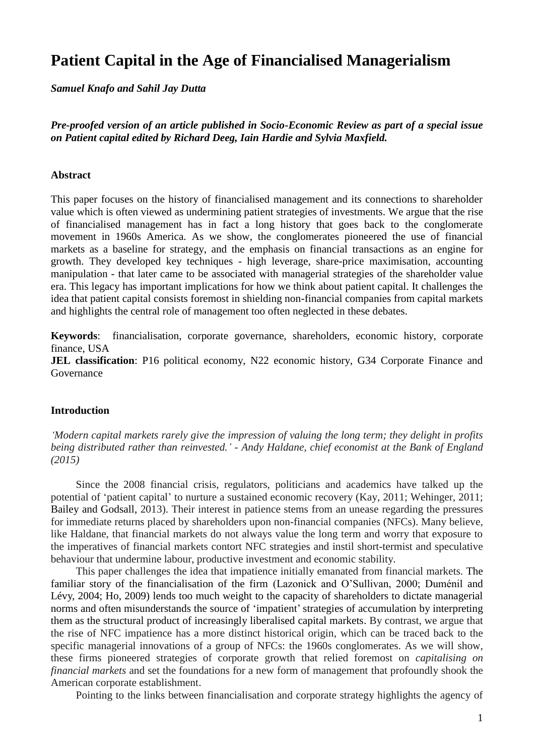# **Patient Capital in the Age of Financialised Managerialism**

*Samuel Knafo and Sahil Jay Dutta*

*Pre-proofed version of an article published in Socio-Economic Review as part of a special issue on Patient capital edited by Richard Deeg, Iain Hardie and Sylvia Maxfield.*

#### **Abstract**

This paper focuses on the history of financialised management and its connections to shareholder value which is often viewed as undermining patient strategies of investments. We argue that the rise of financialised management has in fact a long history that goes back to the conglomerate movement in 1960s America. As we show, the conglomerates pioneered the use of financial markets as a baseline for strategy, and the emphasis on financial transactions as an engine for growth. They developed key techniques - high leverage, share-price maximisation, accounting manipulation - that later came to be associated with managerial strategies of the shareholder value era. This legacy has important implications for how we think about patient capital. It challenges the idea that patient capital consists foremost in shielding non-financial companies from capital markets and highlights the central role of management too often neglected in these debates.

**Keywords**: financialisation, corporate governance, shareholders, economic history, corporate finance, USA

**JEL classification**: P16 political economy, N22 economic history, G34 Corporate Finance and Governance

#### **Introduction**

*'Modern capital markets rarely give the impression of valuing the long term; they delight in profits being distributed rather than reinvested.' - Andy Haldane, chief economist at the Bank of England (2015)*

Since the 2008 financial crisis, regulators, politicians and academics have talked up the potential of 'patient capital' to nurture a sustained economic recovery (Kay, 2011; Wehinger, 2011; Bailey and Godsall, 2013). Their interest in patience stems from an unease regarding the pressures for immediate returns placed by shareholders upon non-financial companies (NFCs). Many believe, like Haldane, that financial markets do not always value the long term and worry that exposure to the imperatives of financial markets contort NFC strategies and instil short-termist and speculative behaviour that undermine labour, productive investment and economic stability.

This paper challenges the idea that impatience initially emanated from financial markets. The familiar story of the financialisation of the firm (Lazonick and O'Sullivan, 2000; Duménil and Lévy, 2004; Ho, 2009) lends too much weight to the capacity of shareholders to dictate managerial norms and often misunderstands the source of 'impatient' strategies of accumulation by interpreting them as the structural product of increasingly liberalised capital markets. By contrast, we argue that the rise of NFC impatience has a more distinct historical origin, which can be traced back to the specific managerial innovations of a group of NFCs: the 1960s conglomerates. As we will show, these firms pioneered strategies of corporate growth that relied foremost on *capitalising on financial markets* and set the foundations for a new form of management that profoundly shook the American corporate establishment.

Pointing to the links between financialisation and corporate strategy highlights the agency of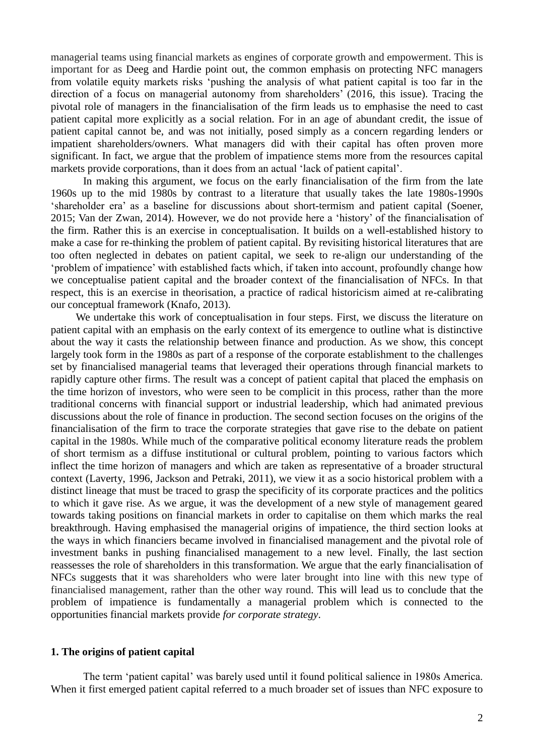managerial teams using financial markets as engines of corporate growth and empowerment. This is important for as Deeg and Hardie point out, the common emphasis on protecting NFC managers from volatile equity markets risks 'pushing the analysis of what patient capital is too far in the direction of a focus on managerial autonomy from shareholders' (2016, this issue). Tracing the pivotal role of managers in the financialisation of the firm leads us to emphasise the need to cast patient capital more explicitly as a social relation. For in an age of abundant credit, the issue of patient capital cannot be, and was not initially, posed simply as a concern regarding lenders or impatient shareholders/owners. What managers did with their capital has often proven more significant. In fact, we argue that the problem of impatience stems more from the resources capital markets provide corporations, than it does from an actual 'lack of patient capital'.

In making this argument, we focus on the early financialisation of the firm from the late 1960s up to the mid 1980s by contrast to a literature that usually takes the late 1980s-1990s 'shareholder era' as a baseline for discussions about short-termism and patient capital (Soener, 2015; Van der Zwan, 2014). However, we do not provide here a 'history' of the financialisation of the firm. Rather this is an exercise in conceptualisation. It builds on a well-established history to make a case for re-thinking the problem of patient capital. By revisiting historical literatures that are too often neglected in debates on patient capital, we seek to re-align our understanding of the 'problem of impatience' with established facts which, if taken into account, profoundly change how we conceptualise patient capital and the broader context of the financialisation of NFCs. In that respect, this is an exercise in theorisation, a practice of radical historicism aimed at re-calibrating our conceptual framework (Knafo, 2013).

We undertake this work of conceptualisation in four steps. First, we discuss the literature on patient capital with an emphasis on the early context of its emergence to outline what is distinctive about the way it casts the relationship between finance and production. As we show, this concept largely took form in the 1980s as part of a response of the corporate establishment to the challenges set by financialised managerial teams that leveraged their operations through financial markets to rapidly capture other firms. The result was a concept of patient capital that placed the emphasis on the time horizon of investors, who were seen to be complicit in this process, rather than the more traditional concerns with financial support or industrial leadership, which had animated previous discussions about the role of finance in production. The second section focuses on the origins of the financialisation of the firm to trace the corporate strategies that gave rise to the debate on patient capital in the 1980s. While much of the comparative political economy literature reads the problem of short termism as a diffuse institutional or cultural problem, pointing to various factors which inflect the time horizon of managers and which are taken as representative of a broader structural context (Laverty, 1996, Jackson and Petraki, 2011), we view it as a socio historical problem with a distinct lineage that must be traced to grasp the specificity of its corporate practices and the politics to which it gave rise. As we argue, it was the development of a new style of management geared towards taking positions on financial markets in order to capitalise on them which marks the real breakthrough. Having emphasised the managerial origins of impatience, the third section looks at the ways in which financiers became involved in financialised management and the pivotal role of investment banks in pushing financialised management to a new level. Finally, the last section reassesses the role of shareholders in this transformation. We argue that the early financialisation of NFCs suggests that it was shareholders who were later brought into line with this new type of financialised management, rather than the other way round. This will lead us to conclude that the problem of impatience is fundamentally a managerial problem which is connected to the opportunities financial markets provide *for corporate strategy*.

#### **1. The origins of patient capital**

The term 'patient capital' was barely used until it found political salience in 1980s America. When it first emerged patient capital referred to a much broader set of issues than NFC exposure to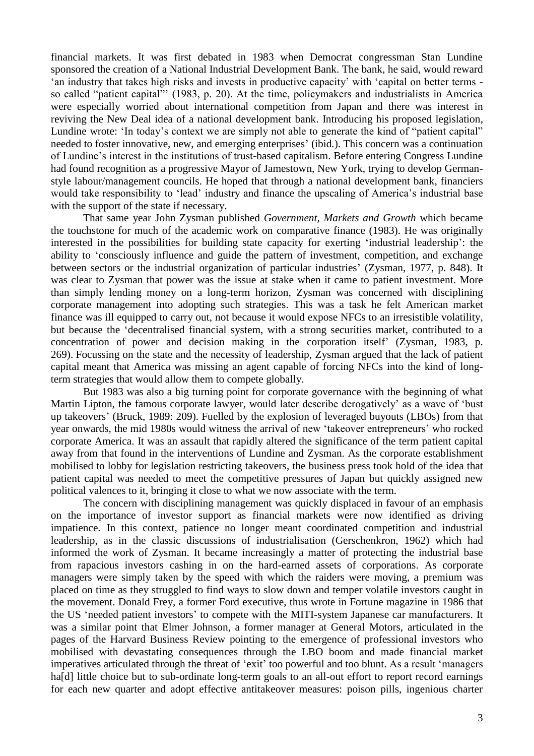financial markets. It was first debated in 1983 when Democrat congressman Stan Lundine sponsored the creation of a National Industrial Development Bank. The bank, he said, would reward 'an industry that takes high risks and invests in productive capacity' with 'capital on better terms so called "patient capital"' (1983, p. 20). At the time, policymakers and industrialists in America were especially worried about international competition from Japan and there was interest in reviving the New Deal idea of a national development bank. Introducing his proposed legislation, Lundine wrote: 'In today's context we are simply not able to generate the kind of "patient capital" needed to foster innovative, new, and emerging enterprises' (ibid*.*). This concern was a continuation of Lundine's interest in the institutions of trust-based capitalism. Before entering Congress Lundine had found recognition as a progressive Mayor of Jamestown, New York, trying to develop Germanstyle labour/management councils. He hoped that through a national development bank, financiers would take responsibility to 'lead' industry and finance the upscaling of America's industrial base with the support of the state if necessary.

That same year John Zysman published *Government, Markets and Growth* which became the touchstone for much of the academic work on comparative finance (1983). He was originally interested in the possibilities for building state capacity for exerting 'industrial leadership': the ability to 'consciously influence and guide the pattern of investment, competition, and exchange between sectors or the industrial organization of particular industries' (Zysman, 1977, p. 848). It was clear to Zysman that power was the issue at stake when it came to patient investment. More than simply lending money on a long-term horizon, Zysman was concerned with disciplining corporate management into adopting such strategies. This was a task he felt American market finance was ill equipped to carry out, not because it would expose NFCs to an irresistible volatility, but because the 'decentralised financial system, with a strong securities market, contributed to a concentration of power and decision making in the corporation itself' (Zysman, 1983, p. 269). Focussing on the state and the necessity of leadership, Zysman argued that the lack of patient capital meant that America was missing an agent capable of forcing NFCs into the kind of longterm strategies that would allow them to compete globally.

But 1983 was also a big turning point for corporate governance with the beginning of what Martin Lipton, the famous corporate lawyer, would later describe derogatively' as a wave of 'bust up takeovers' (Bruck, 1989: 209). Fuelled by the explosion of leveraged buyouts (LBOs) from that year onwards, the mid 1980s would witness the arrival of new 'takeover entrepreneurs' who rocked corporate America. It was an assault that rapidly altered the significance of the term patient capital away from that found in the interventions of Lundine and Zysman. As the corporate establishment mobilised to lobby for legislation restricting takeovers, the business press took hold of the idea that patient capital was needed to meet the competitive pressures of Japan but quickly assigned new political valences to it, bringing it close to what we now associate with the term.

The concern with disciplining management was quickly displaced in favour of an emphasis on the importance of investor support as financial markets were now identified as driving impatience. In this context, patience no longer meant coordinated competition and industrial leadership, as in the classic discussions of industrialisation (Gerschenkron, 1962) which had informed the work of Zysman. It became increasingly a matter of protecting the industrial base from rapacious investors cashing in on the hard-earned assets of corporations. As corporate managers were simply taken by the speed with which the raiders were moving, a premium was placed on time as they struggled to find ways to slow down and temper volatile investors caught in the movement. Donald Frey, a former Ford executive, thus wrote in Fortune magazine in 1986 that the US 'needed patient investors' to compete with the MITI-system Japanese car manufacturers. It was a similar point that Elmer Johnson, a former manager at General Motors, articulated in the pages of the Harvard Business Review pointing to the emergence of professional investors who mobilised with devastating consequences through the LBO boom and made financial market imperatives articulated through the threat of 'exit' too powerful and too blunt. As a result 'managers ha<sup>[d]</sup> little choice but to sub-ordinate long-term goals to an all-out effort to report record earnings for each new quarter and adopt effective antitakeover measures: poison pills, ingenious charter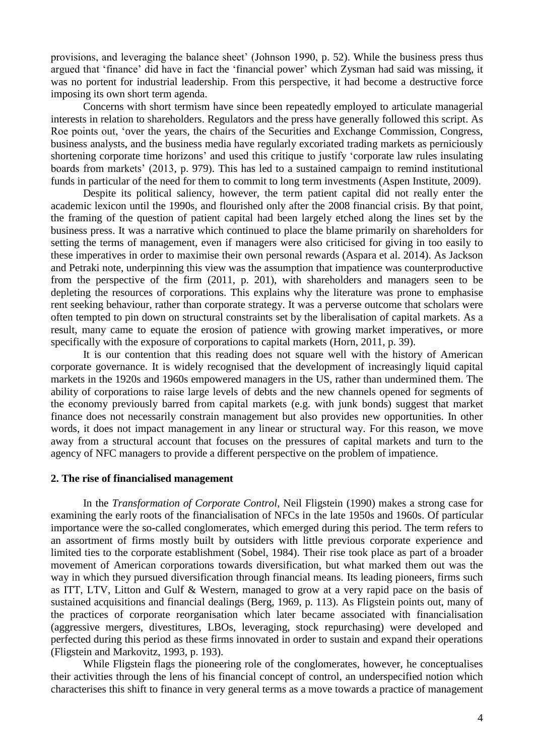provisions, and leveraging the balance sheet' (Johnson 1990, p. 52). While the business press thus argued that 'finance' did have in fact the 'financial power' which Zysman had said was missing, it was no portent for industrial leadership. From this perspective, it had become a destructive force imposing its own short term agenda.

Concerns with short termism have since been repeatedly employed to articulate managerial interests in relation to shareholders. Regulators and the press have generally followed this script. As Roe points out, 'over the years, the chairs of the Securities and Exchange Commission, Congress, business analysts, and the business media have regularly excoriated trading markets as perniciously shortening corporate time horizons' and used this critique to justify 'corporate law rules insulating boards from markets' (2013, p. 979). This has led to a sustained campaign to remind institutional funds in particular of the need for them to commit to long term investments (Aspen Institute, 2009).

Despite its political saliency, however, the term patient capital did not really enter the academic lexicon until the 1990s, and flourished only after the 2008 financial crisis. By that point, the framing of the question of patient capital had been largely etched along the lines set by the business press. It was a narrative which continued to place the blame primarily on shareholders for setting the terms of management, even if managers were also criticised for giving in too easily to these imperatives in order to maximise their own personal rewards (Aspara et al. 2014). As Jackson and Petraki note, underpinning this view was the assumption that impatience was counterproductive from the perspective of the firm (2011, p. 201), with shareholders and managers seen to be depleting the resources of corporations. This explains why the literature was prone to emphasise rent seeking behaviour, rather than corporate strategy. It was a perverse outcome that scholars were often tempted to pin down on structural constraints set by the liberalisation of capital markets. As a result, many came to equate the erosion of patience with growing market imperatives, or more specifically with the exposure of corporations to capital markets (Horn, 2011, p. 39).

It is our contention that this reading does not square well with the history of American corporate governance. It is widely recognised that the development of increasingly liquid capital markets in the 1920s and 1960s empowered managers in the US, rather than undermined them. The ability of corporations to raise large levels of debts and the new channels opened for segments of the economy previously barred from capital markets (e.g. with junk bonds) suggest that market finance does not necessarily constrain management but also provides new opportunities. In other words, it does not impact management in any linear or structural way. For this reason, we move away from a structural account that focuses on the pressures of capital markets and turn to the agency of NFC managers to provide a different perspective on the problem of impatience.

#### **2. The rise of financialised management**

In the *Transformation of Corporate Control*, Neil Fligstein (1990) makes a strong case for examining the early roots of the financialisation of NFCs in the late 1950s and 1960s. Of particular importance were the so-called conglomerates, which emerged during this period. The term refers to an assortment of firms mostly built by outsiders with little previous corporate experience and limited ties to the corporate establishment (Sobel, 1984). Their rise took place as part of a broader movement of American corporations towards diversification, but what marked them out was the way in which they pursued diversification through financial means. Its leading pioneers, firms such as ITT, LTV, Litton and Gulf & Western, managed to grow at a very rapid pace on the basis of sustained acquisitions and financial dealings (Berg, 1969, p. 113). As Fligstein points out, many of the practices of corporate reorganisation which later became associated with financialisation (aggressive mergers, divestitures, LBOs, leveraging, stock repurchasing) were developed and perfected during this period as these firms innovated in order to sustain and expand their operations (Fligstein and Markovitz, 1993, p. 193).

While Fligstein flags the pioneering role of the conglomerates, however, he conceptualises their activities through the lens of his financial concept of control, an underspecified notion which characterises this shift to finance in very general terms as a move towards a practice of management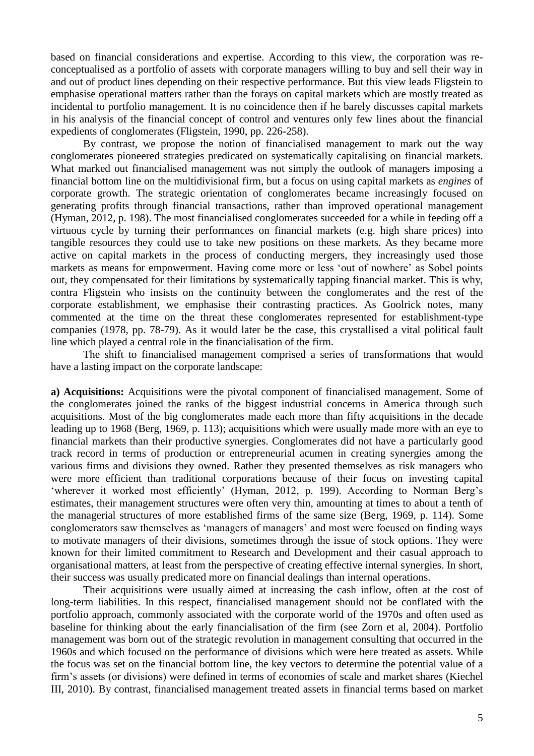based on financial considerations and expertise. According to this view, the corporation was reconceptualised as a portfolio of assets with corporate managers willing to buy and sell their way in and out of product lines depending on their respective performance. But this view leads Fligstein to emphasise operational matters rather than the forays on capital markets which are mostly treated as incidental to portfolio management. It is no coincidence then if he barely discusses capital markets in his analysis of the financial concept of control and ventures only few lines about the financial expedients of conglomerates (Fligstein, 1990, pp. 226-258).

By contrast, we propose the notion of financialised management to mark out the way conglomerates pioneered strategies predicated on systematically capitalising on financial markets. What marked out financialised management was not simply the outlook of managers imposing a financial bottom line on the multidivisional firm, but a focus on using capital markets as *engines* of corporate growth. The strategic orientation of conglomerates became increasingly focused on generating profits through financial transactions, rather than improved operational management (Hyman, 2012, p. 198). The most financialised conglomerates succeeded for a while in feeding off a virtuous cycle by turning their performances on financial markets (e.g. high share prices) into tangible resources they could use to take new positions on these markets. As they became more active on capital markets in the process of conducting mergers, they increasingly used those markets as means for empowerment. Having come more or less 'out of nowhere' as Sobel points out, they compensated for their limitations by systematically tapping financial market. This is why, contra Fligstein who insists on the continuity between the conglomerates and the rest of the corporate establishment, we emphasise their contrasting practices. As Goolrick notes, many commented at the time on the threat these conglomerates represented for establishment-type companies (1978, pp. 78-79). As it would later be the case, this crystallised a vital political fault line which played a central role in the financialisation of the firm.

The shift to financialised management comprised a series of transformations that would have a lasting impact on the corporate landscape:

**a) Acquisitions:** Acquisitions were the pivotal component of financialised management. Some of the conglomerates joined the ranks of the biggest industrial concerns in America through such acquisitions. Most of the big conglomerates made each more than fifty acquisitions in the decade leading up to 1968 (Berg, 1969, p. 113); acquisitions which were usually made more with an eye to financial markets than their productive synergies. Conglomerates did not have a particularly good track record in terms of production or entrepreneurial acumen in creating synergies among the various firms and divisions they owned. Rather they presented themselves as risk managers who were more efficient than traditional corporations because of their focus on investing capital 'wherever it worked most efficiently' (Hyman, 2012, p. 199). According to Norman Berg's estimates, their management structures were often very thin, amounting at times to about a tenth of the managerial structures of more established firms of the same size (Berg, 1969, p. 114). Some conglomerators saw themselves as 'managers of managers' and most were focused on finding ways to motivate managers of their divisions, sometimes through the issue of stock options. They were known for their limited commitment to Research and Development and their casual approach to organisational matters, at least from the perspective of creating effective internal synergies. In short, their success was usually predicated more on financial dealings than internal operations.

Their acquisitions were usually aimed at increasing the cash inflow, often at the cost of long-term liabilities. In this respect, financialised management should not be conflated with the portfolio approach, commonly associated with the corporate world of the 1970s and often used as baseline for thinking about the early financialisation of the firm (see Zorn et al, 2004). Portfolio management was born out of the strategic revolution in management consulting that occurred in the 1960s and which focused on the performance of divisions which were here treated as assets. While the focus was set on the financial bottom line, the key vectors to determine the potential value of a firm's assets (or divisions) were defined in terms of economies of scale and market shares (Kiechel III, 2010). By contrast, financialised management treated assets in financial terms based on market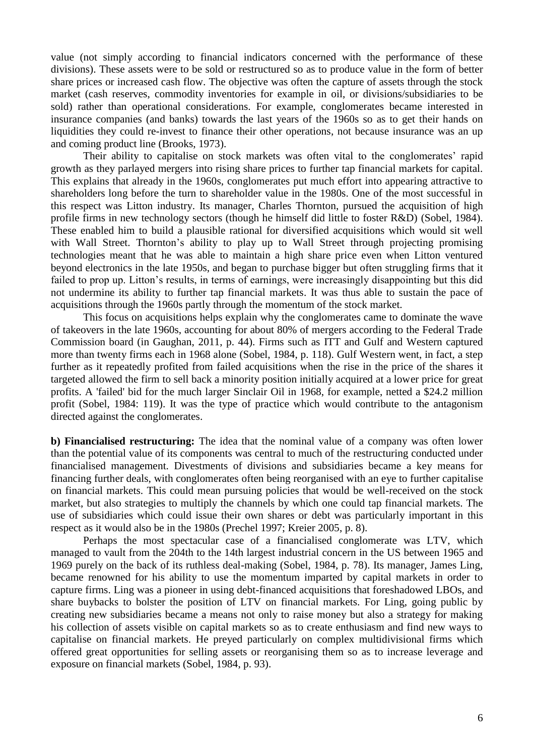value (not simply according to financial indicators concerned with the performance of these divisions). These assets were to be sold or restructured so as to produce value in the form of better share prices or increased cash flow. The objective was often the capture of assets through the stock market (cash reserves, commodity inventories for example in oil, or divisions/subsidiaries to be sold) rather than operational considerations. For example, conglomerates became interested in insurance companies (and banks) towards the last years of the 1960s so as to get their hands on liquidities they could re-invest to finance their other operations, not because insurance was an up and coming product line (Brooks, 1973).

Their ability to capitalise on stock markets was often vital to the conglomerates' rapid growth as they parlayed mergers into rising share prices to further tap financial markets for capital. This explains that already in the 1960s, conglomerates put much effort into appearing attractive to shareholders long before the turn to shareholder value in the 1980s. One of the most successful in this respect was Litton industry. Its manager, Charles Thornton, pursued the acquisition of high profile firms in new technology sectors (though he himself did little to foster R&D) (Sobel, 1984). These enabled him to build a plausible rational for diversified acquisitions which would sit well with Wall Street. Thornton's ability to play up to Wall Street through projecting promising technologies meant that he was able to maintain a high share price even when Litton ventured beyond electronics in the late 1950s, and began to purchase bigger but often struggling firms that it failed to prop up. Litton's results, in terms of earnings, were increasingly disappointing but this did not undermine its ability to further tap financial markets. It was thus able to sustain the pace of acquisitions through the 1960s partly through the momentum of the stock market.

This focus on acquisitions helps explain why the conglomerates came to dominate the wave of takeovers in the late 1960s, accounting for about 80% of mergers according to the Federal Trade Commission board (in Gaughan, 2011, p. 44). Firms such as ITT and Gulf and Western captured more than twenty firms each in 1968 alone (Sobel, 1984, p. 118). Gulf Western went, in fact, a step further as it repeatedly profited from failed acquisitions when the rise in the price of the shares it targeted allowed the firm to sell back a minority position initially acquired at a lower price for great profits. A 'failed' bid for the much larger Sinclair Oil in 1968, for example, netted a \$24.2 million profit (Sobel, 1984: 119). It was the type of practice which would contribute to the antagonism directed against the conglomerates.

**b) Financialised restructuring:** The idea that the nominal value of a company was often lower than the potential value of its components was central to much of the restructuring conducted under financialised management. Divestments of divisions and subsidiaries became a key means for financing further deals, with conglomerates often being reorganised with an eye to further capitalise on financial markets. This could mean pursuing policies that would be well-received on the stock market, but also strategies to multiply the channels by which one could tap financial markets. The use of subsidiaries which could issue their own shares or debt was particularly important in this respect as it would also be in the 1980s (Prechel 1997; Kreier 2005, p. 8).

Perhaps the most spectacular case of a financialised conglomerate was LTV, which managed to vault from the 204th to the 14th largest industrial concern in the US between 1965 and 1969 purely on the back of its ruthless deal-making (Sobel, 1984, p. 78). Its manager, James Ling, became renowned for his ability to use the momentum imparted by capital markets in order to capture firms. Ling was a pioneer in using debt-financed acquisitions that foreshadowed LBOs, and share buybacks to bolster the position of LTV on financial markets. For Ling, going public by creating new subsidiaries became a means not only to raise money but also a strategy for making his collection of assets visible on capital markets so as to create enthusiasm and find new ways to capitalise on financial markets. He preyed particularly on complex multidivisional firms which offered great opportunities for selling assets or reorganising them so as to increase leverage and exposure on financial markets (Sobel, 1984, p. 93).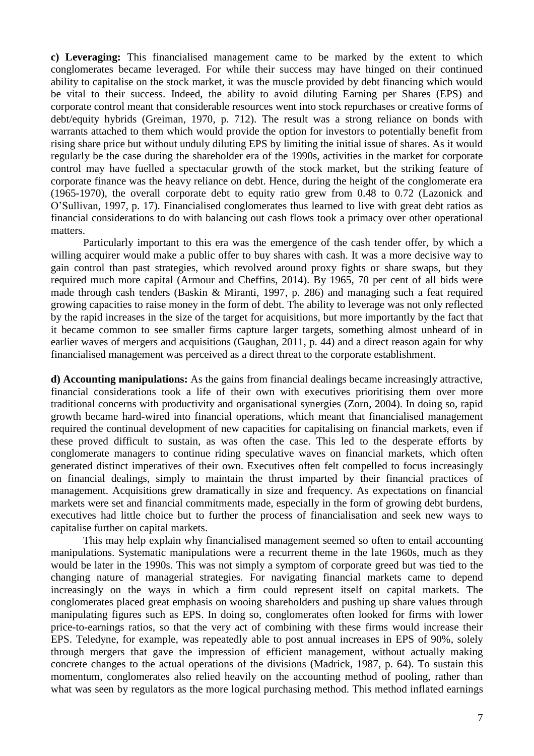**c) Leveraging:** This financialised management came to be marked by the extent to which conglomerates became leveraged. For while their success may have hinged on their continued ability to capitalise on the stock market, it was the muscle provided by debt financing which would be vital to their success. Indeed, the ability to avoid diluting Earning per Shares (EPS) and corporate control meant that considerable resources went into stock repurchases or creative forms of debt/equity hybrids (Greiman, 1970, p. 712). The result was a strong reliance on bonds with warrants attached to them which would provide the option for investors to potentially benefit from rising share price but without unduly diluting EPS by limiting the initial issue of shares. As it would regularly be the case during the shareholder era of the 1990s, activities in the market for corporate control may have fuelled a spectacular growth of the stock market, but the striking feature of corporate finance was the heavy reliance on debt. Hence, during the height of the conglomerate era (1965-1970), the overall corporate debt to equity ratio grew from 0.48 to 0.72 (Lazonick and O'Sullivan, 1997, p. 17). Financialised conglomerates thus learned to live with great debt ratios as financial considerations to do with balancing out cash flows took a primacy over other operational matters.

Particularly important to this era was the emergence of the cash tender offer, by which a willing acquirer would make a public offer to buy shares with cash. It was a more decisive way to gain control than past strategies, which revolved around proxy fights or share swaps, but they required much more capital (Armour and Cheffins, 2014). By 1965, 70 per cent of all bids were made through cash tenders (Baskin & Miranti, 1997, p. 286) and managing such a feat required growing capacities to raise money in the form of debt. The ability to leverage was not only reflected by the rapid increases in the size of the target for acquisitions, but more importantly by the fact that it became common to see smaller firms capture larger targets, something almost unheard of in earlier waves of mergers and acquisitions (Gaughan, 2011, p. 44) and a direct reason again for why financialised management was perceived as a direct threat to the corporate establishment.

**d) Accounting manipulations:** As the gains from financial dealings became increasingly attractive, financial considerations took a life of their own with executives prioritising them over more traditional concerns with productivity and organisational synergies (Zorn, 2004). In doing so, rapid growth became hard-wired into financial operations, which meant that financialised management required the continual development of new capacities for capitalising on financial markets, even if these proved difficult to sustain, as was often the case. This led to the desperate efforts by conglomerate managers to continue riding speculative waves on financial markets, which often generated distinct imperatives of their own. Executives often felt compelled to focus increasingly on financial dealings, simply to maintain the thrust imparted by their financial practices of management. Acquisitions grew dramatically in size and frequency. As expectations on financial markets were set and financial commitments made, especially in the form of growing debt burdens, executives had little choice but to further the process of financialisation and seek new ways to capitalise further on capital markets.

This may help explain why financialised management seemed so often to entail accounting manipulations. Systematic manipulations were a recurrent theme in the late 1960s, much as they would be later in the 1990s. This was not simply a symptom of corporate greed but was tied to the changing nature of managerial strategies. For navigating financial markets came to depend increasingly on the ways in which a firm could represent itself on capital markets. The conglomerates placed great emphasis on wooing shareholders and pushing up share values through manipulating figures such as EPS. In doing so, conglomerates often looked for firms with lower price-to-earnings ratios, so that the very act of combining with these firms would increase their EPS. Teledyne, for example, was repeatedly able to post annual increases in EPS of 90%, solely through mergers that gave the impression of efficient management, without actually making concrete changes to the actual operations of the divisions (Madrick, 1987, p. 64). To sustain this momentum, conglomerates also relied heavily on the accounting method of pooling, rather than what was seen by regulators as the more logical purchasing method. This method inflated earnings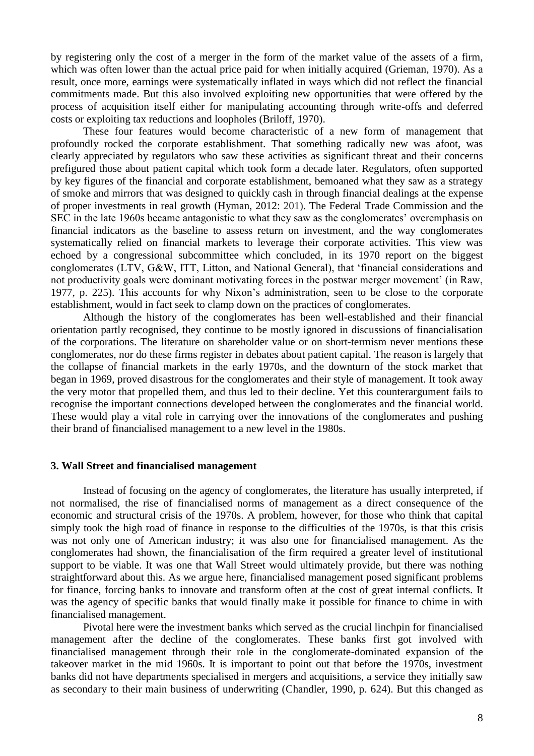by registering only the cost of a merger in the form of the market value of the assets of a firm, which was often lower than the actual price paid for when initially acquired (Grieman, 1970). As a result, once more, earnings were systematically inflated in ways which did not reflect the financial commitments made. But this also involved exploiting new opportunities that were offered by the process of acquisition itself either for manipulating accounting through write-offs and deferred costs or exploiting tax reductions and loopholes (Briloff, 1970).

These four features would become characteristic of a new form of management that profoundly rocked the corporate establishment. That something radically new was afoot, was clearly appreciated by regulators who saw these activities as significant threat and their concerns prefigured those about patient capital which took form a decade later. Regulators, often supported by key figures of the financial and corporate establishment, bemoaned what they saw as a strategy of smoke and mirrors that was designed to quickly cash in through financial dealings at the expense of proper investments in real growth (Hyman, 2012: 201). The Federal Trade Commission and the SEC in the late 1960s became antagonistic to what they saw as the conglomerates' overemphasis on financial indicators as the baseline to assess return on investment, and the way conglomerates systematically relied on financial markets to leverage their corporate activities. This view was echoed by a congressional subcommittee which concluded, in its 1970 report on the biggest conglomerates (LTV, G&W, ITT, Litton, and National General), that 'financial considerations and not productivity goals were dominant motivating forces in the postwar merger movement' (in Raw, 1977, p. 225). This accounts for why Nixon's administration, seen to be close to the corporate establishment, would in fact seek to clamp down on the practices of conglomerates.

Although the history of the conglomerates has been well-established and their financial orientation partly recognised, they continue to be mostly ignored in discussions of financialisation of the corporations. The literature on shareholder value or on short-termism never mentions these conglomerates, nor do these firms register in debates about patient capital. The reason is largely that the collapse of financial markets in the early 1970s, and the downturn of the stock market that began in 1969, proved disastrous for the conglomerates and their style of management. It took away the very motor that propelled them, and thus led to their decline. Yet this counterargument fails to recognise the important connections developed between the conglomerates and the financial world. These would play a vital role in carrying over the innovations of the conglomerates and pushing their brand of financialised management to a new level in the 1980s.

#### **3. Wall Street and financialised management**

Instead of focusing on the agency of conglomerates, the literature has usually interpreted, if not normalised, the rise of financialised norms of management as a direct consequence of the economic and structural crisis of the 1970s. A problem, however, for those who think that capital simply took the high road of finance in response to the difficulties of the 1970s, is that this crisis was not only one of American industry; it was also one for financialised management. As the conglomerates had shown, the financialisation of the firm required a greater level of institutional support to be viable. It was one that Wall Street would ultimately provide, but there was nothing straightforward about this. As we argue here, financialised management posed significant problems for finance, forcing banks to innovate and transform often at the cost of great internal conflicts. It was the agency of specific banks that would finally make it possible for finance to chime in with financialised management.

Pivotal here were the investment banks which served as the crucial linchpin for financialised management after the decline of the conglomerates. These banks first got involved with financialised management through their role in the conglomerate-dominated expansion of the takeover market in the mid 1960s. It is important to point out that before the 1970s, investment banks did not have departments specialised in mergers and acquisitions, a service they initially saw as secondary to their main business of underwriting (Chandler, 1990, p. 624). But this changed as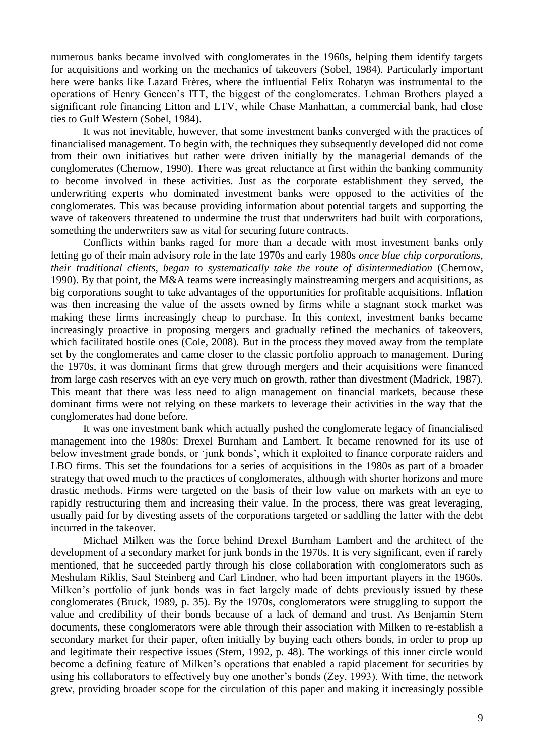numerous banks became involved with conglomerates in the 1960s, helping them identify targets for acquisitions and working on the mechanics of takeovers (Sobel, 1984). Particularly important here were banks like Lazard Frères, where the influential Felix Rohatyn was instrumental to the operations of Henry Geneen's ITT, the biggest of the conglomerates. Lehman Brothers played a significant role financing Litton and LTV, while Chase Manhattan, a commercial bank, had close ties to Gulf Western (Sobel, 1984).

It was not inevitable, however, that some investment banks converged with the practices of financialised management. To begin with, the techniques they subsequently developed did not come from their own initiatives but rather were driven initially by the managerial demands of the conglomerates (Chernow, 1990). There was great reluctance at first within the banking community to become involved in these activities. Just as the corporate establishment they served, the underwriting experts who dominated investment banks were opposed to the activities of the conglomerates. This was because providing information about potential targets and supporting the wave of takeovers threatened to undermine the trust that underwriters had built with corporations, something the underwriters saw as vital for securing future contracts.

Conflicts within banks raged for more than a decade with most investment banks only letting go of their main advisory role in the late 1970s and early 1980s *once blue chip corporations, their traditional clients, began to systematically take the route of disintermediation* (Chernow, 1990). By that point, the M&A teams were increasingly mainstreaming mergers and acquisitions, as big corporations sought to take advantages of the opportunities for profitable acquisitions. Inflation was then increasing the value of the assets owned by firms while a stagnant stock market was making these firms increasingly cheap to purchase. In this context, investment banks became increasingly proactive in proposing mergers and gradually refined the mechanics of takeovers, which facilitated hostile ones (Cole, 2008). But in the process they moved away from the template set by the conglomerates and came closer to the classic portfolio approach to management. During the 1970s, it was dominant firms that grew through mergers and their acquisitions were financed from large cash reserves with an eye very much on growth, rather than divestment (Madrick, 1987). This meant that there was less need to align management on financial markets, because these dominant firms were not relying on these markets to leverage their activities in the way that the conglomerates had done before.

It was one investment bank which actually pushed the conglomerate legacy of financialised management into the 1980s: Drexel Burnham and Lambert. It became renowned for its use of below investment grade bonds, or 'junk bonds', which it exploited to finance corporate raiders and LBO firms. This set the foundations for a series of acquisitions in the 1980s as part of a broader strategy that owed much to the practices of conglomerates, although with shorter horizons and more drastic methods. Firms were targeted on the basis of their low value on markets with an eye to rapidly restructuring them and increasing their value. In the process, there was great leveraging, usually paid for by divesting assets of the corporations targeted or saddling the latter with the debt incurred in the takeover.

Michael Milken was the force behind Drexel Burnham Lambert and the architect of the development of a secondary market for junk bonds in the 1970s. It is very significant, even if rarely mentioned, that he succeeded partly through his close collaboration with conglomerators such as Meshulam Riklis, Saul Steinberg and Carl Lindner, who had been important players in the 1960s. Milken's portfolio of junk bonds was in fact largely made of debts previously issued by these conglomerates (Bruck, 1989, p. 35). By the 1970s, conglomerators were struggling to support the value and credibility of their bonds because of a lack of demand and trust. As Benjamin Stern documents, these conglomerators were able through their association with Milken to re-establish a secondary market for their paper, often initially by buying each others bonds, in order to prop up and legitimate their respective issues (Stern, 1992, p. 48). The workings of this inner circle would become a defining feature of Milken's operations that enabled a rapid placement for securities by using his collaborators to effectively buy one another's bonds (Zey, 1993). With time, the network grew, providing broader scope for the circulation of this paper and making it increasingly possible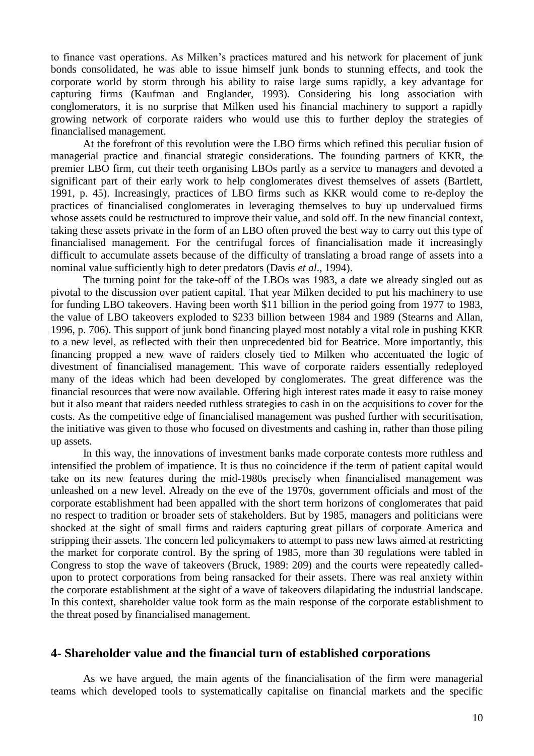to finance vast operations. As Milken's practices matured and his network for placement of junk bonds consolidated, he was able to issue himself junk bonds to stunning effects, and took the corporate world by storm through his ability to raise large sums rapidly, a key advantage for capturing firms (Kaufman and Englander, 1993). Considering his long association with conglomerators, it is no surprise that Milken used his financial machinery to support a rapidly growing network of corporate raiders who would use this to further deploy the strategies of financialised management.

At the forefront of this revolution were the LBO firms which refined this peculiar fusion of managerial practice and financial strategic considerations. The founding partners of KKR, the premier LBO firm, cut their teeth organising LBOs partly as a service to managers and devoted a significant part of their early work to help conglomerates divest themselves of assets (Bartlett, 1991, p. 45). Increasingly, practices of LBO firms such as KKR would come to re-deploy the practices of financialised conglomerates in leveraging themselves to buy up undervalued firms whose assets could be restructured to improve their value, and sold off. In the new financial context, taking these assets private in the form of an LBO often proved the best way to carry out this type of financialised management. For the centrifugal forces of financialisation made it increasingly difficult to accumulate assets because of the difficulty of translating a broad range of assets into a nominal value sufficiently high to deter predators (Davis *et al*., 1994).

The turning point for the take-off of the LBOs was 1983, a date we already singled out as pivotal to the discussion over patient capital. That year Milken decided to put his machinery to use for funding LBO takeovers. Having been worth \$11 billion in the period going from 1977 to 1983, the value of LBO takeovers exploded to \$233 billion between 1984 and 1989 (Stearns and Allan, 1996, p. 706). This support of junk bond financing played most notably a vital role in pushing KKR to a new level, as reflected with their then unprecedented bid for Beatrice. More importantly, this financing propped a new wave of raiders closely tied to Milken who accentuated the logic of divestment of financialised management. This wave of corporate raiders essentially redeployed many of the ideas which had been developed by conglomerates. The great difference was the financial resources that were now available. Offering high interest rates made it easy to raise money but it also meant that raiders needed ruthless strategies to cash in on the acquisitions to cover for the costs. As the competitive edge of financialised management was pushed further with securitisation, the initiative was given to those who focused on divestments and cashing in, rather than those piling up assets.

In this way, the innovations of investment banks made corporate contests more ruthless and intensified the problem of impatience. It is thus no coincidence if the term of patient capital would take on its new features during the mid-1980s precisely when financialised management was unleashed on a new level. Already on the eve of the 1970s, government officials and most of the corporate establishment had been appalled with the short term horizons of conglomerates that paid no respect to tradition or broader sets of stakeholders. But by 1985, managers and politicians were shocked at the sight of small firms and raiders capturing great pillars of corporate America and stripping their assets. The concern led policymakers to attempt to pass new laws aimed at restricting the market for corporate control. By the spring of 1985, more than 30 regulations were tabled in Congress to stop the wave of takeovers (Bruck, 1989: 209) and the courts were repeatedly calledupon to protect corporations from being ransacked for their assets. There was real anxiety within the corporate establishment at the sight of a wave of takeovers dilapidating the industrial landscape. In this context, shareholder value took form as the main response of the corporate establishment to the threat posed by financialised management.

## **4- Shareholder value and the financial turn of established corporations**

As we have argued, the main agents of the financialisation of the firm were managerial teams which developed tools to systematically capitalise on financial markets and the specific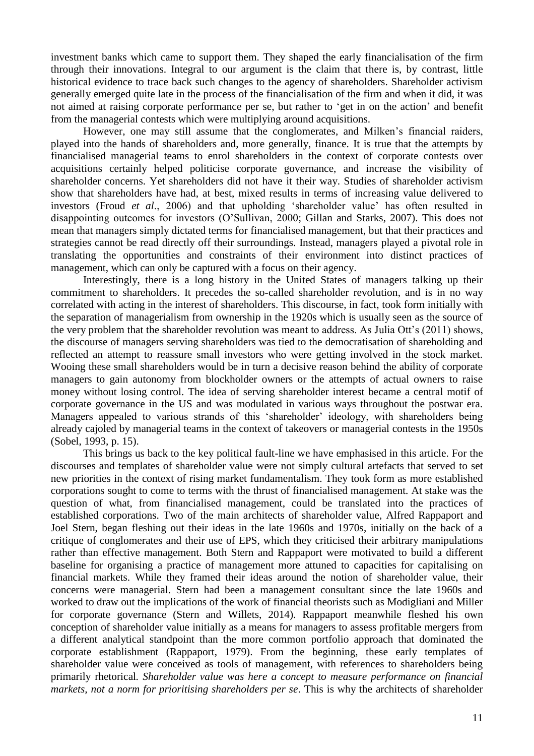investment banks which came to support them. They shaped the early financialisation of the firm through their innovations. Integral to our argument is the claim that there is, by contrast, little historical evidence to trace back such changes to the agency of shareholders. Shareholder activism generally emerged quite late in the process of the financialisation of the firm and when it did, it was not aimed at raising corporate performance per se, but rather to 'get in on the action' and benefit from the managerial contests which were multiplying around acquisitions.

However, one may still assume that the conglomerates, and Milken's financial raiders, played into the hands of shareholders and, more generally, finance. It is true that the attempts by financialised managerial teams to enrol shareholders in the context of corporate contests over acquisitions certainly helped politicise corporate governance, and increase the visibility of shareholder concerns. Yet shareholders did not have it their way. Studies of shareholder activism show that shareholders have had, at best, mixed results in terms of increasing value delivered to investors (Froud *et al*., 2006) and that upholding 'shareholder value' has often resulted in disappointing outcomes for investors (O'Sullivan, 2000; Gillan and Starks, 2007). This does not mean that managers simply dictated terms for financialised management, but that their practices and strategies cannot be read directly off their surroundings. Instead, managers played a pivotal role in translating the opportunities and constraints of their environment into distinct practices of management, which can only be captured with a focus on their agency.

Interestingly, there is a long history in the United States of managers talking up their commitment to shareholders. It precedes the so-called shareholder revolution, and is in no way correlated with acting in the interest of shareholders. This discourse, in fact, took form initially with the separation of managerialism from ownership in the 1920s which is usually seen as the source of the very problem that the shareholder revolution was meant to address. As Julia Ott's (2011) shows, the discourse of managers serving shareholders was tied to the democratisation of shareholding and reflected an attempt to reassure small investors who were getting involved in the stock market. Wooing these small shareholders would be in turn a decisive reason behind the ability of corporate managers to gain autonomy from blockholder owners or the attempts of actual owners to raise money without losing control. The idea of serving shareholder interest became a central motif of corporate governance in the US and was modulated in various ways throughout the postwar era. Managers appealed to various strands of this 'shareholder' ideology, with shareholders being already cajoled by managerial teams in the context of takeovers or managerial contests in the 1950s (Sobel, 1993, p. 15).

This brings us back to the key political fault-line we have emphasised in this article. For the discourses and templates of shareholder value were not simply cultural artefacts that served to set new priorities in the context of rising market fundamentalism. They took form as more established corporations sought to come to terms with the thrust of financialised management. At stake was the question of what, from financialised management, could be translated into the practices of established corporations. Two of the main architects of shareholder value, Alfred Rappaport and Joel Stern, began fleshing out their ideas in the late 1960s and 1970s, initially on the back of a critique of conglomerates and their use of EPS, which they criticised their arbitrary manipulations rather than effective management. Both Stern and Rappaport were motivated to build a different baseline for organising a practice of management more attuned to capacities for capitalising on financial markets. While they framed their ideas around the notion of shareholder value, their concerns were managerial. Stern had been a management consultant since the late 1960s and worked to draw out the implications of the work of financial theorists such as Modigliani and Miller for corporate governance (Stern and Willets, 2014). Rappaport meanwhile fleshed his own conception of shareholder value initially as a means for managers to assess profitable mergers from a different analytical standpoint than the more common portfolio approach that dominated the corporate establishment (Rappaport, 1979). From the beginning, these early templates of shareholder value were conceived as tools of management, with references to shareholders being primarily rhetorical*. Shareholder value was here a concept to measure performance on financial markets, not a norm for prioritising shareholders per se*. This is why the architects of shareholder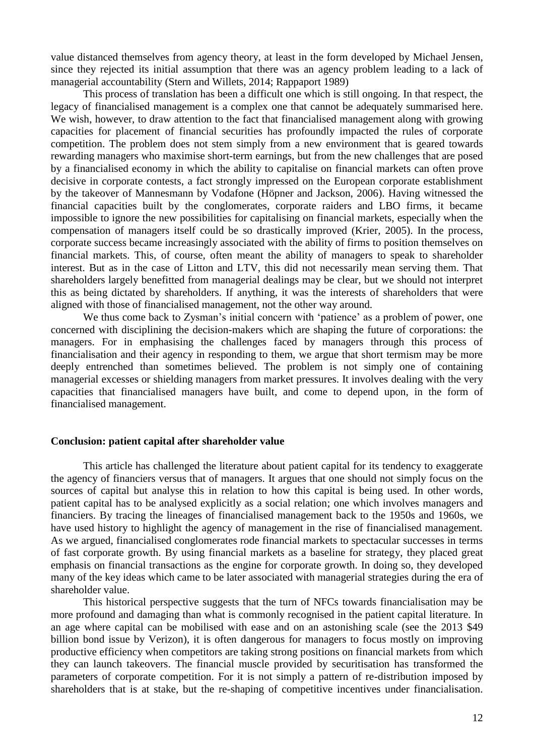value distanced themselves from agency theory, at least in the form developed by Michael Jensen, since they rejected its initial assumption that there was an agency problem leading to a lack of managerial accountability (Stern and Willets, 2014; Rappaport 1989)

This process of translation has been a difficult one which is still ongoing. In that respect, the legacy of financialised management is a complex one that cannot be adequately summarised here. We wish, however, to draw attention to the fact that financialised management along with growing capacities for placement of financial securities has profoundly impacted the rules of corporate competition. The problem does not stem simply from a new environment that is geared towards rewarding managers who maximise short-term earnings, but from the new challenges that are posed by a financialised economy in which the ability to capitalise on financial markets can often prove decisive in corporate contests, a fact strongly impressed on the European corporate establishment by the takeover of Mannesmann by Vodafone (Höpner and Jackson, 2006). Having witnessed the financial capacities built by the conglomerates, corporate raiders and LBO firms, it became impossible to ignore the new possibilities for capitalising on financial markets, especially when the compensation of managers itself could be so drastically improved (Krier, 2005). In the process, corporate success became increasingly associated with the ability of firms to position themselves on financial markets. This, of course, often meant the ability of managers to speak to shareholder interest. But as in the case of Litton and LTV, this did not necessarily mean serving them. That shareholders largely benefitted from managerial dealings may be clear, but we should not interpret this as being dictated by shareholders. If anything, it was the interests of shareholders that were aligned with those of financialised management, not the other way around.

We thus come back to Zysman's initial concern with 'patience' as a problem of power, one concerned with disciplining the decision-makers which are shaping the future of corporations: the managers. For in emphasising the challenges faced by managers through this process of financialisation and their agency in responding to them, we argue that short termism may be more deeply entrenched than sometimes believed. The problem is not simply one of containing managerial excesses or shielding managers from market pressures. It involves dealing with the very capacities that financialised managers have built, and come to depend upon, in the form of financialised management.

#### **Conclusion: patient capital after shareholder value**

This article has challenged the literature about patient capital for its tendency to exaggerate the agency of financiers versus that of managers. It argues that one should not simply focus on the sources of capital but analyse this in relation to how this capital is being used. In other words, patient capital has to be analysed explicitly as a social relation; one which involves managers and financiers. By tracing the lineages of financialised management back to the 1950s and 1960s, we have used history to highlight the agency of management in the rise of financialised management. As we argued, financialised conglomerates rode financial markets to spectacular successes in terms of fast corporate growth. By using financial markets as a baseline for strategy, they placed great emphasis on financial transactions as the engine for corporate growth. In doing so, they developed many of the key ideas which came to be later associated with managerial strategies during the era of shareholder value.

This historical perspective suggests that the turn of NFCs towards financialisation may be more profound and damaging than what is commonly recognised in the patient capital literature. In an age where capital can be mobilised with ease and on an astonishing scale (see the 2013 \$49 billion bond issue by Verizon), it is often dangerous for managers to focus mostly on improving productive efficiency when competitors are taking strong positions on financial markets from which they can launch takeovers. The financial muscle provided by securitisation has transformed the parameters of corporate competition. For it is not simply a pattern of re-distribution imposed by shareholders that is at stake, but the re-shaping of competitive incentives under financialisation.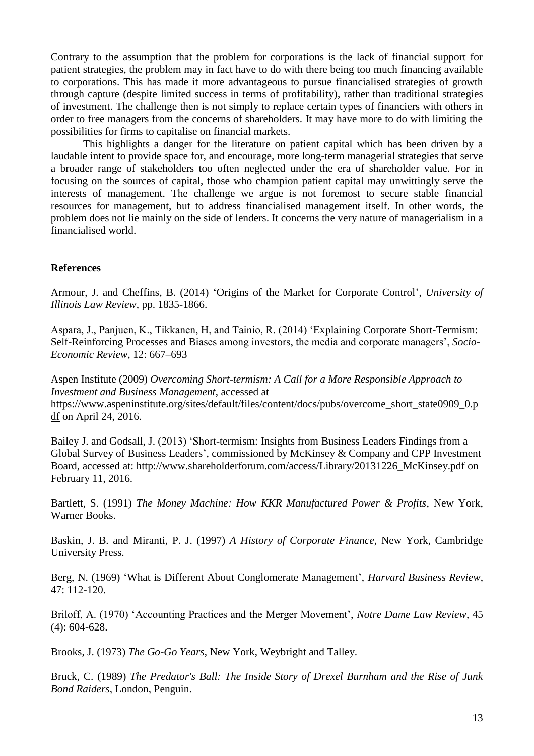Contrary to the assumption that the problem for corporations is the lack of financial support for patient strategies, the problem may in fact have to do with there being too much financing available to corporations. This has made it more advantageous to pursue financialised strategies of growth through capture (despite limited success in terms of profitability), rather than traditional strategies of investment. The challenge then is not simply to replace certain types of financiers with others in order to free managers from the concerns of shareholders. It may have more to do with limiting the possibilities for firms to capitalise on financial markets.

This highlights a danger for the literature on patient capital which has been driven by a laudable intent to provide space for, and encourage, more long-term managerial strategies that serve a broader range of stakeholders too often neglected under the era of shareholder value. For in focusing on the sources of capital, those who champion patient capital may unwittingly serve the interests of management. The challenge we argue is not foremost to secure stable financial resources for management, but to address financialised management itself. In other words, the problem does not lie mainly on the side of lenders. It concerns the very nature of managerialism in a financialised world.

### **References**

Armour, J. and Cheffins, B. (2014) 'Origins of the Market for Corporate Control', *University of Illinois Law Review*, pp. 1835-1866.

Aspara, J., Panjuen, K., Tikkanen, H, and Tainio, R. (2014) 'Explaining Corporate Short-Termism: Self-Reinforcing Processes and Biases among investors, the media and corporate managers', *Socio-Economic Review*, 12: 667–693

Aspen Institute (2009) *Overcoming Short-termism: A Call for a More Responsible Approach to Investment and Business Management*, accessed at [https://www.aspeninstitute.org/sites/default/files/content/docs/pubs/overcome\\_short\\_state0909\\_0.p](https://www.aspeninstitute.org/sites/default/files/content/docs/pubs/overcome_short_state0909_0.pdf) [df](https://www.aspeninstitute.org/sites/default/files/content/docs/pubs/overcome_short_state0909_0.pdf) on April 24, 2016.

Bailey J. and Godsall, J. (2013) 'Short-termism: Insights from Business Leaders Findings from a Global Survey of Business Leaders', commissioned by McKinsey & Company and CPP Investment Board, accessed at: [http://www.shareholderforum.com/access/Library/20131226\\_McKinsey.pdf](http://www.shareholderforum.com/access/Library/20131226_McKinsey.pdf) on February 11, 2016.

Bartlett, S. (1991) *The Money Machine: How KKR Manufactured Power & Profits*, New York, Warner Books.

Baskin, J. B. and Miranti, P. J. (1997) *A History of Corporate Finance*, New York, Cambridge University Press.

Berg, N. (1969) 'What is Different About Conglomerate Management', *Harvard Business Review*, 47: 112-120.

Briloff, A. (1970) 'Accounting Practices and the Merger Movement', *Notre Dame Law Review*, 45 (4): 604-628.

Brooks, J. (1973) *The Go-Go Years*, New York, Weybright and Talley.

Bruck, C. (1989) *The Predator's Ball: The Inside Story of Drexel Burnham and the Rise of Junk Bond Raiders*, London, Penguin.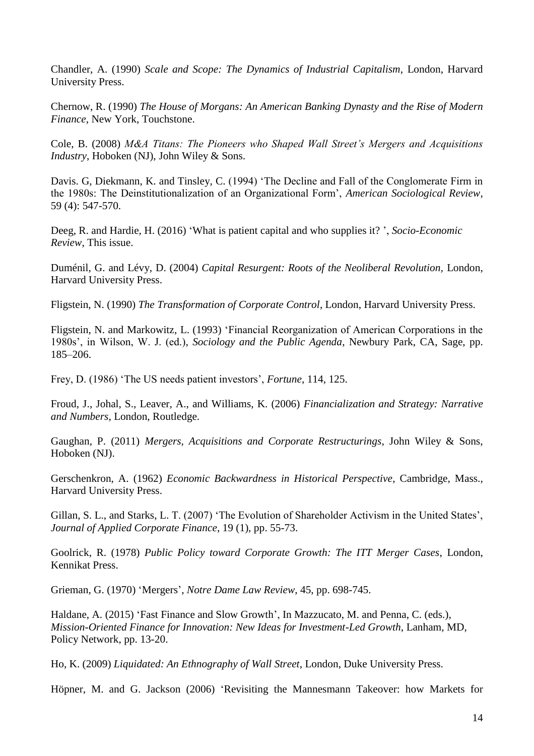Chandler, A. (1990) *Scale and Scope: The Dynamics of Industrial Capitalism*, London, Harvard University Press.

Chernow, R. (1990) *The House of Morgans: An American Banking Dynasty and the Rise of Modern Finance*, New York, Touchstone.

Cole, B. (2008) *M&A Titans: The Pioneers who Shaped Wall Street's Mergers and Acquisitions Industry*, Hoboken (NJ), John Wiley & Sons.

Davis. G, Diekmann, K. and Tinsley, C. (1994) 'The Decline and Fall of the Conglomerate Firm in the 1980s: The Deinstitutionalization of an Organizational Form', *American Sociological Review*, 59 (4): 547-570.

Deeg, R. and Hardie, H. (2016) 'What is patient capital and who supplies it? ', *Socio-Economic Review*, This issue.

Duménil, G. and Lévy, D. (2004) *Capital Resurgent: Roots of the Neoliberal Revolution,* London, Harvard University Press.

Fligstein, N. (1990) *The Transformation of Corporate Control*, London, Harvard University Press.

Fligstein, N. and Markowitz, L. (1993) 'Financial Reorganization of American Corporations in the 1980s', in Wilson, W. J. (ed.), *Sociology and the Public Agenda*, Newbury Park, CA, Sage, pp. 185–206.

Frey, D. (1986) 'The US needs patient investors', *Fortune*, 114, 125.

Froud, J., Johal, S., Leaver, A., and Williams, K. (2006) *Financialization and Strategy: Narrative and Numbers*, London, Routledge.

Gaughan, P. (2011) *Mergers, Acquisitions and Corporate Restructurings*, John Wiley & Sons, Hoboken (NJ).

Gerschenkron, A. (1962) *Economic Backwardness in Historical Perspective*, Cambridge, Mass., Harvard University Press.

Gillan, S. L., and Starks, L. T. (2007) 'The Evolution of Shareholder Activism in the United States', *Journal of Applied Corporate Finance*, 19 (1), pp. 55-73.

Goolrick, R. (1978) *Public Policy toward Corporate Growth: The ITT Merger Cases*, London, Kennikat Press.

Grieman, G. (1970) 'Mergers', *Notre Dame Law Review*, 45, pp. 698-745.

Haldane, A. (2015) 'Fast Finance and Slow Growth', In Mazzucato, M. and Penna, C. (eds.), *Mission-Oriented Finance for Innovation: New Ideas for Investment-Led Growth*, Lanham, MD, Policy Network, pp. 13-20.

Ho, K. (2009) *Liquidated: An Ethnography of Wall Street*, London, Duke University Press.

Höpner, M. and G. Jackson (2006) 'Revisiting the Mannesmann Takeover: how Markets for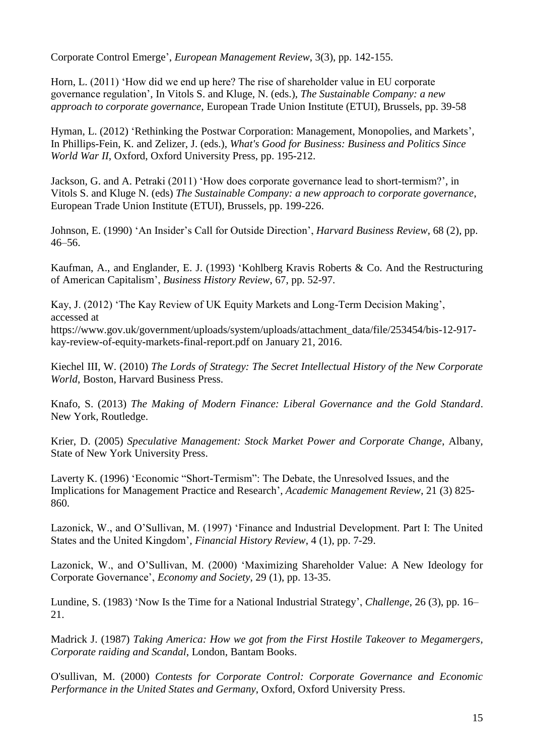Corporate Control Emerge', *European Management Review*, 3(3), pp. 142-155.

Horn, L. (2011) 'How did we end up here? The rise of shareholder value in EU corporate governance regulation', In Vitols S. and Kluge, N. (eds.), *The Sustainable Company: a new approach to corporate governance*, European Trade Union Institute (ETUI), Brussels, pp. 39-58

Hyman, L. (2012) 'Rethinking the Postwar Corporation: Management, Monopolies, and Markets', In Phillips-Fein, K. and Zelizer, J. (eds.), *What's Good for Business: Business and Politics Since World War II*, Oxford, Oxford University Press, pp. 195-212.

Jackson, G. and A. Petraki (2011) 'How does corporate governance lead to short-termism?', in Vitols S. and Kluge N. (eds) *The Sustainable Company: a new approach to corporate governance*, European Trade Union Institute (ETUI), Brussels, pp. 199-226.

Johnson, E. (1990) 'An Insider's Call for Outside Direction', *Harvard Business Review*, 68 (2), pp. 46–56.

Kaufman, A., and Englander, E. J. (1993) 'Kohlberg Kravis Roberts & Co. And the Restructuring of American Capitalism', *Business History Review*, 67, pp. 52-97.

Kay, J. (2012) 'The Kay Review of UK Equity Markets and Long-Term Decision Making', accessed at

[https://www.gov.uk/government/uploads/system/uploads/attachment\\_data/file/253454/bis-12-917](https://www.gov.uk/government/uploads/system/uploads/attachment_dat) [kay-review-of-equity-markets-final-report.pdf](https://www.gov.uk/government/uploads/system/uploads/attachment_dat) on January 21, 2016.

Kiechel III, W. (2010) *The Lords of Strategy: The Secret Intellectual History of the New Corporate World*, Boston, Harvard Business Press.

Knafo, S. (2013) *The Making of Modern Finance: Liberal Governance and the Gold Standard*. New York, Routledge.

Krier, D. (2005) *Speculative Management: Stock Market Power and Corporate Change*, Albany, State of New York University Press.

Laverty K. (1996) 'Economic "Short-Termism": The Debate, the Unresolved Issues, and the Implications for Management Practice and Research', *Academic Management Review*, 21 (3) 825- 860.

Lazonick, W., and O'Sullivan, M. (1997) 'Finance and Industrial Development. Part I: The United States and the United Kingdom'*, Financial History Review*, 4 (1), pp. 7-29.

Lazonick, W., and O'Sullivan, M. (2000) 'Maximizing Shareholder Value: A New Ideology for Corporate Governance', *Economy and Society*, 29 (1), pp. 13-35.

Lundine, S. (1983) 'Now Is the Time for a National Industrial Strategy', *Challenge*, 26 (3), pp. 16– 21.

Madrick J. (1987) *Taking America: How we got from the First Hostile Takeover to Megamergers, Corporate raiding and Scandal*, London, Bantam Books.

O'sullivan, M. (2000) *Contests for Corporate Control: Corporate Governance and Economic Performance in the United States and Germany*, Oxford, Oxford University Press.